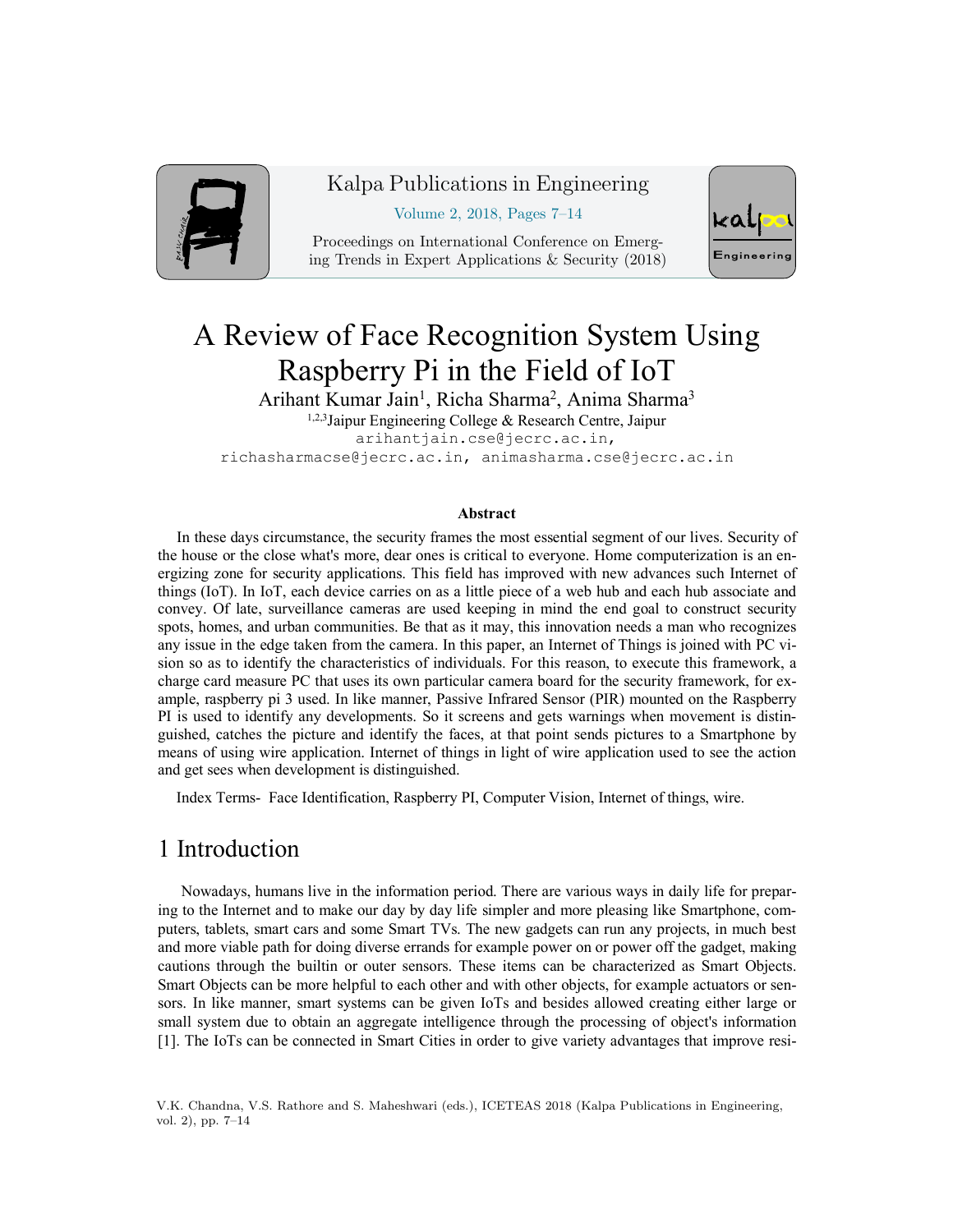

#### Kalpa Publications in Engineering

Volume 2, 2018, Pages 7–14

Proceedings on International Conference on Emerging Trends in Expert Applications & Security (2018)



# A Review of Face Recognition System Using Raspberry Pi in the Field of IoT

Arihant Kumar Jain<sup>1</sup>, Richa Sharma<sup>2</sup>, Anima Sharma<sup>3</sup>

 $1,2,3$ Jaipur Engineering College & Research Centre, Jaipur arihantjain.cse@jecrc.ac.in, richasharmacse@jecrc.ac.in, animasharma.cse@jecrc.ac.in

#### **Abstract**

In these days circumstance, the security frames the most essential segment of our lives. Security of the house or the close what's more, dear ones is critical to everyone. Home computerization is an energizing zone for security applications. This field has improved with new advances such Internet of things (IoT). In IoT, each device carries on as a little piece of a web hub and each hub associate and convey. Of late, surveillance cameras are used keeping in mind the end goal to construct security spots, homes, and urban communities. Be that as it may, this innovation needs a man who recognizes any issue in the edge taken from the camera. In this paper, an Internet of Things is joined with PC vision so as to identify the characteristics of individuals. For this reason, to execute this framework, a charge card measure PC that uses its own particular camera board for the security framework, for example, raspberry pi 3 used. In like manner, Passive Infrared Sensor (PIR) mounted on the Raspberry PI is used to identify any developments. So it screens and gets warnings when movement is distinguished, catches the picture and identify the faces, at that point sends pictures to a Smartphone by means of using wire application. Internet of things in light of wire application used to see the action and get sees when development is distinguished.

Index Terms- Face Identification, Raspberry PI, Computer Vision, Internet of things, wire.

#### 1 Introduction

 Nowadays, humans live in the information period. There are various ways in daily life for preparing to the Internet and to make our day by day life simpler and more pleasing like Smartphone, computers, tablets, smart cars and some Smart TVs. The new gadgets can run any projects, in much best and more viable path for doing diverse errands for example power on or power off the gadget, making cautions through the builtin or outer sensors. These items can be characterized as Smart Objects. Smart Objects can be more helpful to each other and with other objects, for example actuators or sensors. In like manner, smart systems can be given IoTs and besides allowed creating either large or small system due to obtain an aggregate intelligence through the processing of object's information [1]. The IoTs can be connected in Smart Cities in order to give variety advantages that improve resi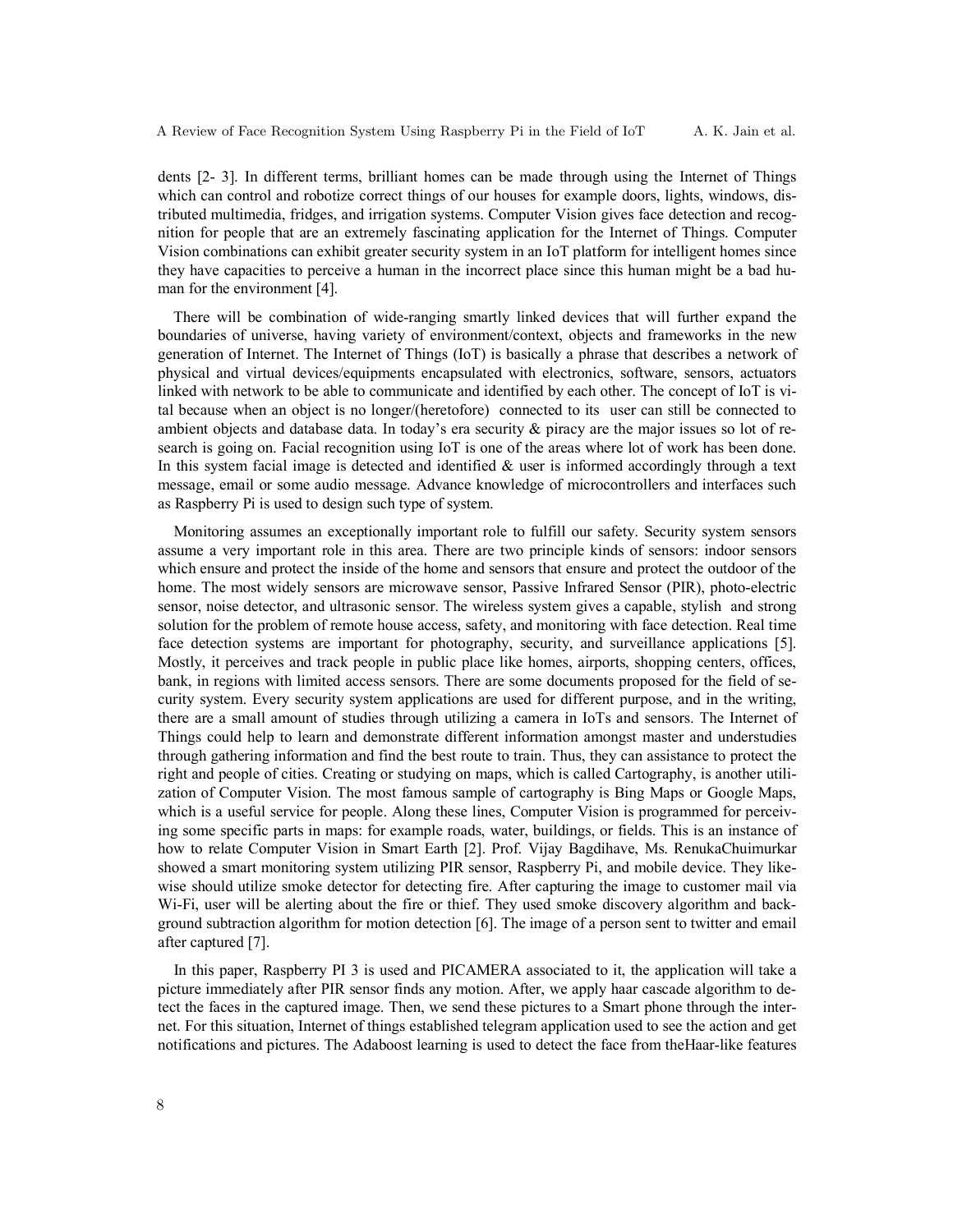dents [2- 3]. In different terms, brilliant homes can be made through using the Internet of Things which can control and robotize correct things of our houses for example doors, lights, windows, distributed multimedia, fridges, and irrigation systems. Computer Vision gives face detection and recognition for people that are an extremely fascinating application for the Internet of Things. Computer Vision combinations can exhibit greater security system in an IoT platform for intelligent homes since they have capacities to perceive a human in the incorrect place since this human might be a bad human for the environment [4].

 There will be combination of wide-ranging smartly linked devices that will further expand the boundaries of universe, having variety of environment/context, objects and frameworks in the new generation of Internet. The Internet of Things (IoT) is basically a phrase that describes a network of physical and virtual devices/equipments encapsulated with electronics, software, sensors, actuators linked with network to be able to communicate and identified by each other. The concept of IoT is vital because when an object is no longer/(heretofore) connected to its user can still be connected to ambient objects and database data. In today's era security & piracy are the major issues so lot of research is going on. Facial recognition using IoT is one of the areas where lot of work has been done. In this system facial image is detected and identified  $\&$  user is informed accordingly through a text message, email or some audio message. Advance knowledge of microcontrollers and interfaces such as Raspberry Pi is used to design such type of system.

 Monitoring assumes an exceptionally important role to fulfill our safety. Security system sensors assume a very important role in this area. There are two principle kinds of sensors: indoor sensors which ensure and protect the inside of the home and sensors that ensure and protect the outdoor of the home. The most widely sensors are microwave sensor, Passive Infrared Sensor (PIR), photo-electric sensor, noise detector, and ultrasonic sensor. The wireless system gives a capable, stylish and strong solution for the problem of remote house access, safety, and monitoring with face detection. Real time face detection systems are important for photography, security, and surveillance applications [5]. Mostly, it perceives and track people in public place like homes, airports, shopping centers, offices, bank, in regions with limited access sensors. There are some documents proposed for the field of security system. Every security system applications are used for different purpose, and in the writing, there are a small amount of studies through utilizing a camera in IoTs and sensors. The Internet of Things could help to learn and demonstrate different information amongst master and understudies through gathering information and find the best route to train. Thus, they can assistance to protect the right and people of cities. Creating or studying on maps, which is called Cartography, is another utilization of Computer Vision. The most famous sample of cartography is Bing Maps or Google Maps, which is a useful service for people. Along these lines, Computer Vision is programmed for perceiving some specific parts in maps: for example roads, water, buildings, or fields. This is an instance of how to relate Computer Vision in Smart Earth [2]. Prof. Vijay Bagdihave, Ms. RenukaChuimurkar showed a smart monitoring system utilizing PIR sensor, Raspberry Pi, and mobile device. They likewise should utilize smoke detector for detecting fire. After capturing the image to customer mail via Wi-Fi, user will be alerting about the fire or thief. They used smoke discovery algorithm and background subtraction algorithm for motion detection [6]. The image of a person sent to twitter and email after captured [7].

 In this paper, Raspberry PI 3 is used and PICAMERA associated to it, the application will take a picture immediately after PIR sensor finds any motion. After, we apply haar cascade algorithm to detect the faces in the captured image. Then, we send these pictures to a Smart phone through the internet. For this situation, Internet of things established telegram application used to see the action and get notifications and pictures. The Adaboost learning is used to detect the face from theHaar-like features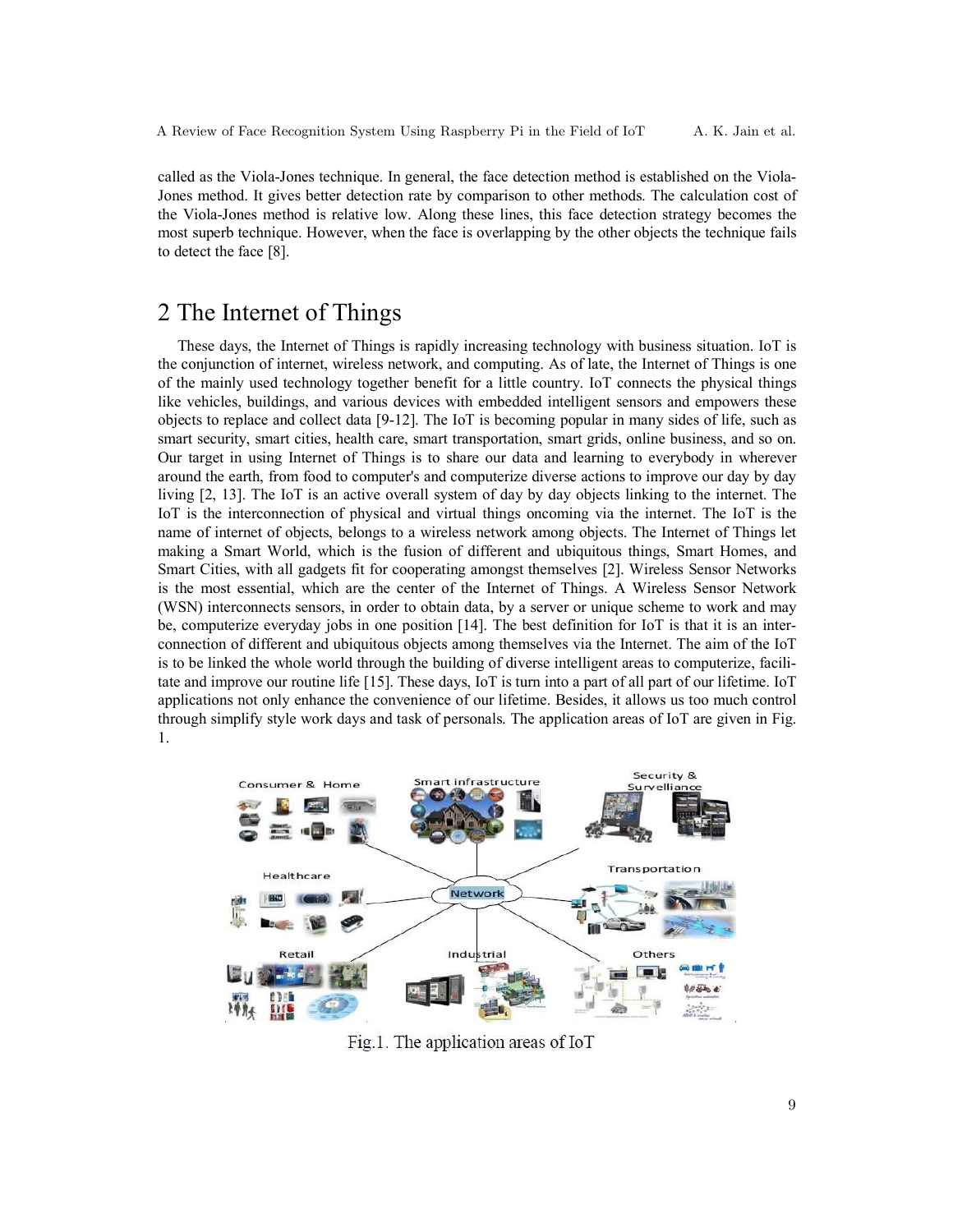called as the Viola-Jones technique. In general, the face detection method is established on the Viola-Jones method. It gives better detection rate by comparison to other methods. The calculation cost of the Viola-Jones method is relative low. Along these lines, this face detection strategy becomes the most superb technique. However, when the face is overlapping by the other objects the technique fails to detect the face [8].

# 2 The Internet of Things

 These days, the Internet of Things is rapidly increasing technology with business situation. IoT is the conjunction of internet, wireless network, and computing. As of late, the Internet of Things is one of the mainly used technology together benefit for a little country. IoT connects the physical things like vehicles, buildings, and various devices with embedded intelligent sensors and empowers these objects to replace and collect data [9-12]. The IoT is becoming popular in many sides of life, such as smart security, smart cities, health care, smart transportation, smart grids, online business, and so on. Our target in using Internet of Things is to share our data and learning to everybody in wherever around the earth, from food to computer's and computerize diverse actions to improve our day by day living [2, 13]. The IoT is an active overall system of day by day objects linking to the internet. The IoT is the interconnection of physical and virtual things oncoming via the internet. The IoT is the name of internet of objects, belongs to a wireless network among objects. The Internet of Things let making a Smart World, which is the fusion of different and ubiquitous things, Smart Homes, and Smart Cities, with all gadgets fit for cooperating amongst themselves [2]. Wireless Sensor Networks is the most essential, which are the center of the Internet of Things. A Wireless Sensor Network (WSN) interconnects sensors, in order to obtain data, by a server or unique scheme to work and may be, computerize everyday jobs in one position [14]. The best definition for IoT is that it is an interconnection of different and ubiquitous objects among themselves via the Internet. The aim of the IoT is to be linked the whole world through the building of diverse intelligent areas to computerize, facilitate and improve our routine life [15]. These days, IoT is turn into a part of all part of our lifetime. IoT applications not only enhance the convenience of our lifetime. Besides, it allows us too much control through simplify style work days and task of personals. The application areas of IoT are given in Fig. 1.



Fig.1. The application areas of IoT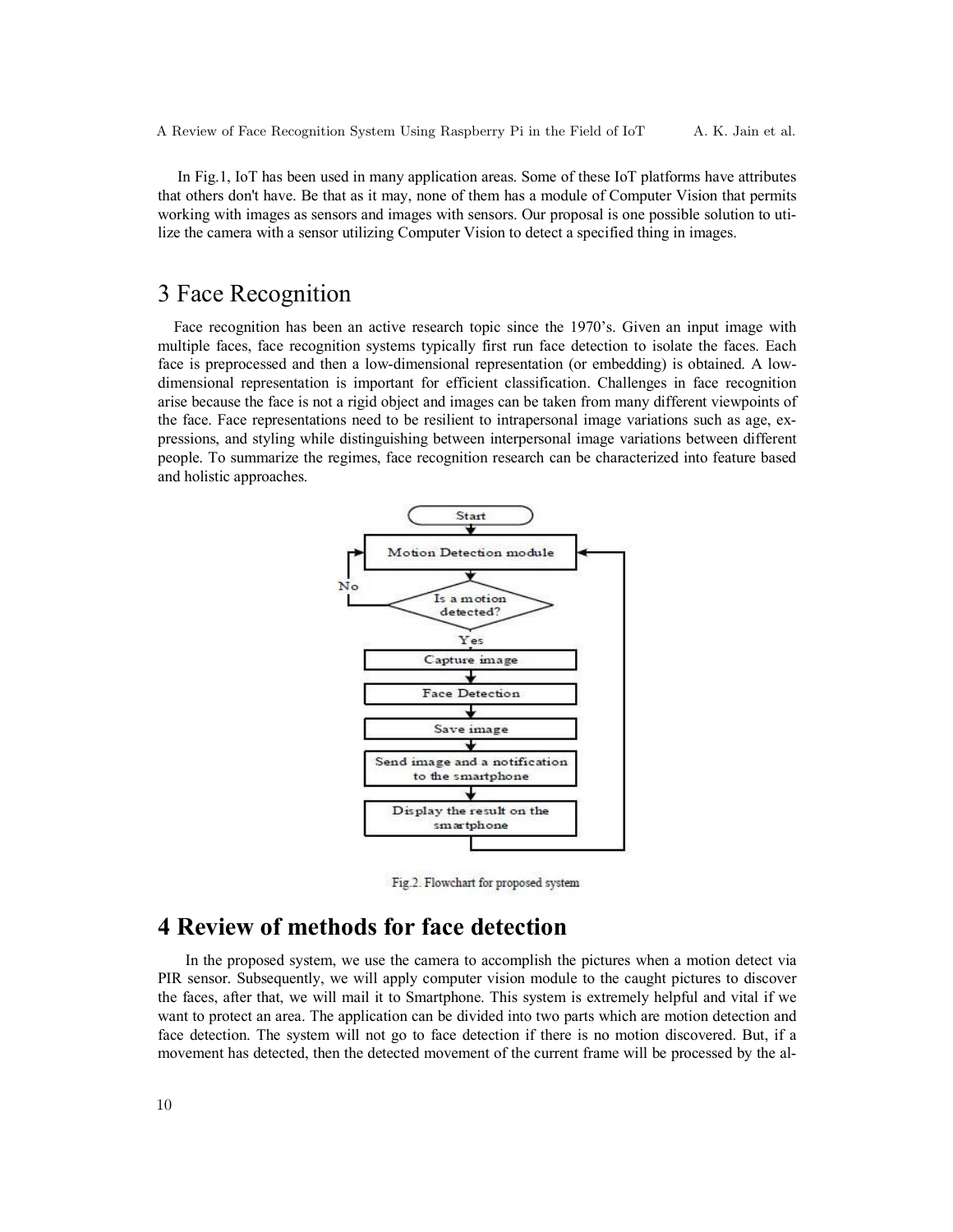In Fig.1, IoT has been used in many application areas. Some of these IoT platforms have attributes that others don't have. Be that as it may, none of them has a module of Computer Vision that permits working with images as sensors and images with sensors. Our proposal is one possible solution to utilize the camera with a sensor utilizing Computer Vision to detect a specified thing in images.

### 3 Face Recognition

 Face recognition has been an active research topic since the 1970's. Given an input image with multiple faces, face recognition systems typically first run face detection to isolate the faces. Each face is preprocessed and then a low-dimensional representation (or embedding) is obtained. A lowdimensional representation is important for efficient classification. Challenges in face recognition arise because the face is not a rigid object and images can be taken from many different viewpoints of the face. Face representations need to be resilient to intrapersonal image variations such as age, expressions, and styling while distinguishing between interpersonal image variations between different people. To summarize the regimes, face recognition research can be characterized into feature based and holistic approaches.



Fig.2. Flowchart for proposed system

# **4 Review of methods for face detection**

 In the proposed system, we use the camera to accomplish the pictures when a motion detect via PIR sensor. Subsequently, we will apply computer vision module to the caught pictures to discover the faces, after that, we will mail it to Smartphone. This system is extremely helpful and vital if we want to protect an area. The application can be divided into two parts which are motion detection and face detection. The system will not go to face detection if there is no motion discovered. But, if a movement has detected, then the detected movement of the current frame will be processed by the al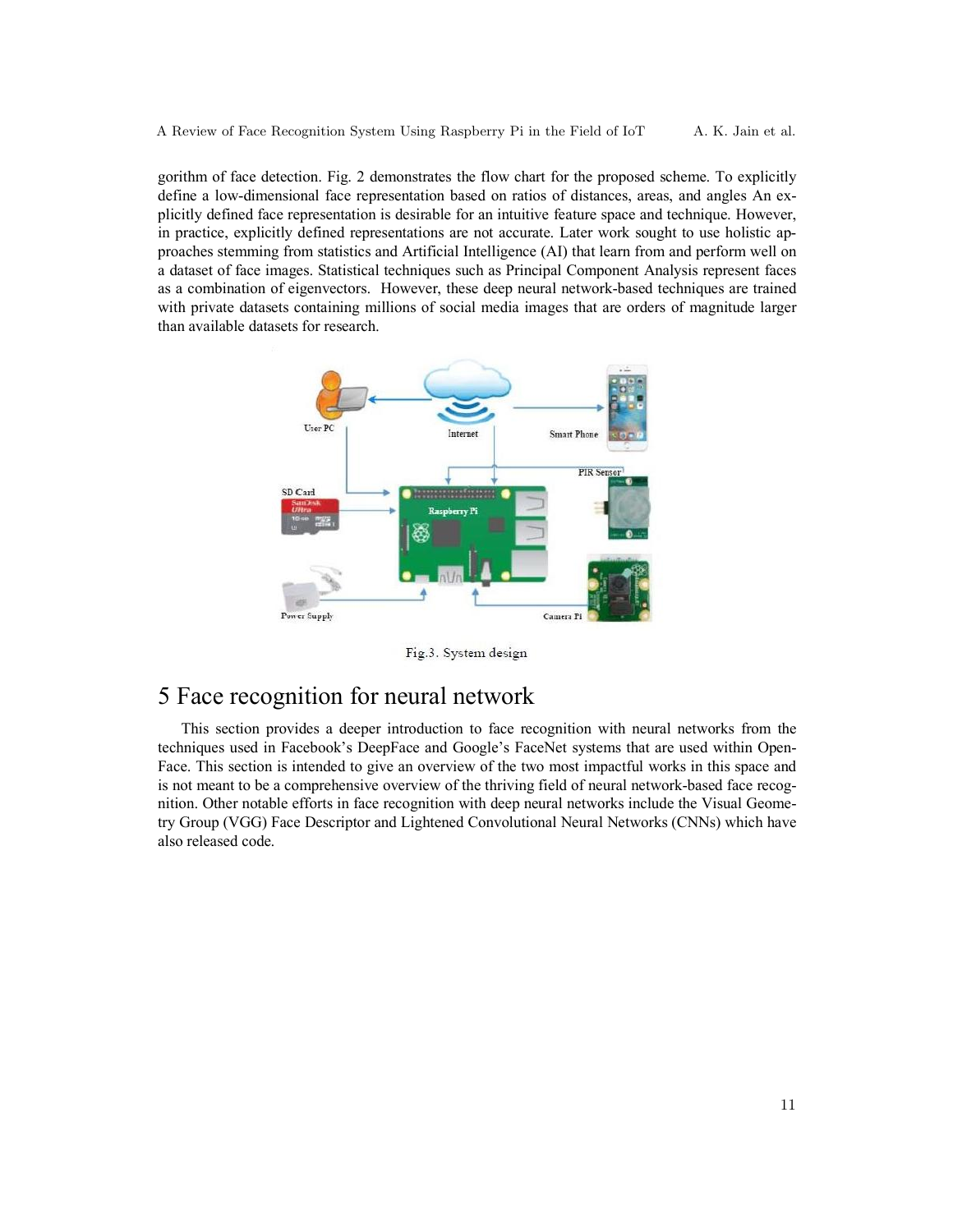gorithm of face detection. Fig. 2 demonstrates the flow chart for the proposed scheme. To explicitly define a low-dimensional face representation based on ratios of distances, areas, and angles An explicitly defined face representation is desirable for an intuitive feature space and technique. However, in practice, explicitly defined representations are not accurate. Later work sought to use holistic approaches stemming from statistics and Artificial Intelligence (AI) that learn from and perform well on a dataset of face images. Statistical techniques such as Principal Component Analysis represent faces as a combination of eigenvectors. However, these deep neural network-based techniques are trained with private datasets containing millions of social media images that are orders of magnitude larger than available datasets for research.



Fig.3. System design

# 5 Face recognition for neural network

 This section provides a deeper introduction to face recognition with neural networks from the techniques used in Facebook's DeepFace and Google's FaceNet systems that are used within Open-Face. This section is intended to give an overview of the two most impactful works in this space and is not meant to be a comprehensive overview of the thriving field of neural network-based face recognition. Other notable efforts in face recognition with deep neural networks include the Visual Geometry Group (VGG) Face Descriptor and Lightened Convolutional Neural Networks (CNNs) which have also released code.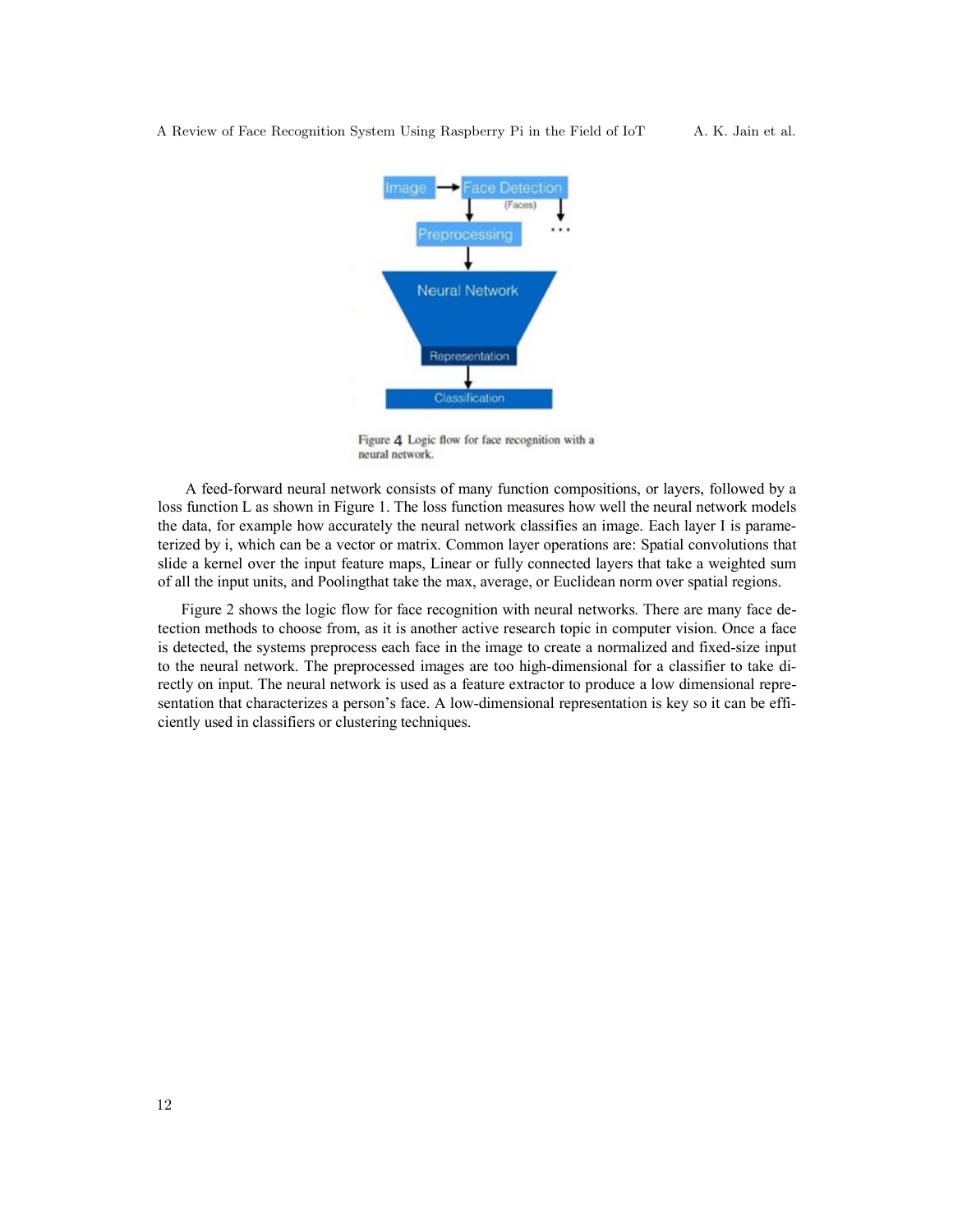A Review of Face Recognition System Using Raspberry Pi in the Field of IoT A. K. Jain et al.



Figure 4 Logic flow for face recognition with a neural network.

 A feed-forward neural network consists of many function compositions, or layers, followed by a loss function L as shown in Figure 1. The loss function measures how well the neural network models the data, for example how accurately the neural network classifies an image. Each layer I is parameterized by i, which can be a vector or matrix. Common layer operations are: Spatial convolutions that slide a kernel over the input feature maps, Linear or fully connected layers that take a weighted sum of all the input units, and Poolingthat take the max, average, or Euclidean norm over spatial regions.

 Figure 2 shows the logic flow for face recognition with neural networks. There are many face detection methods to choose from, as it is another active research topic in computer vision. Once a face is detected, the systems preprocess each face in the image to create a normalized and fixed-size input to the neural network. The preprocessed images are too high-dimensional for a classifier to take directly on input. The neural network is used as a feature extractor to produce a low dimensional representation that characterizes a person's face. A low-dimensional representation is key so it can be efficiently used in classifiers or clustering techniques.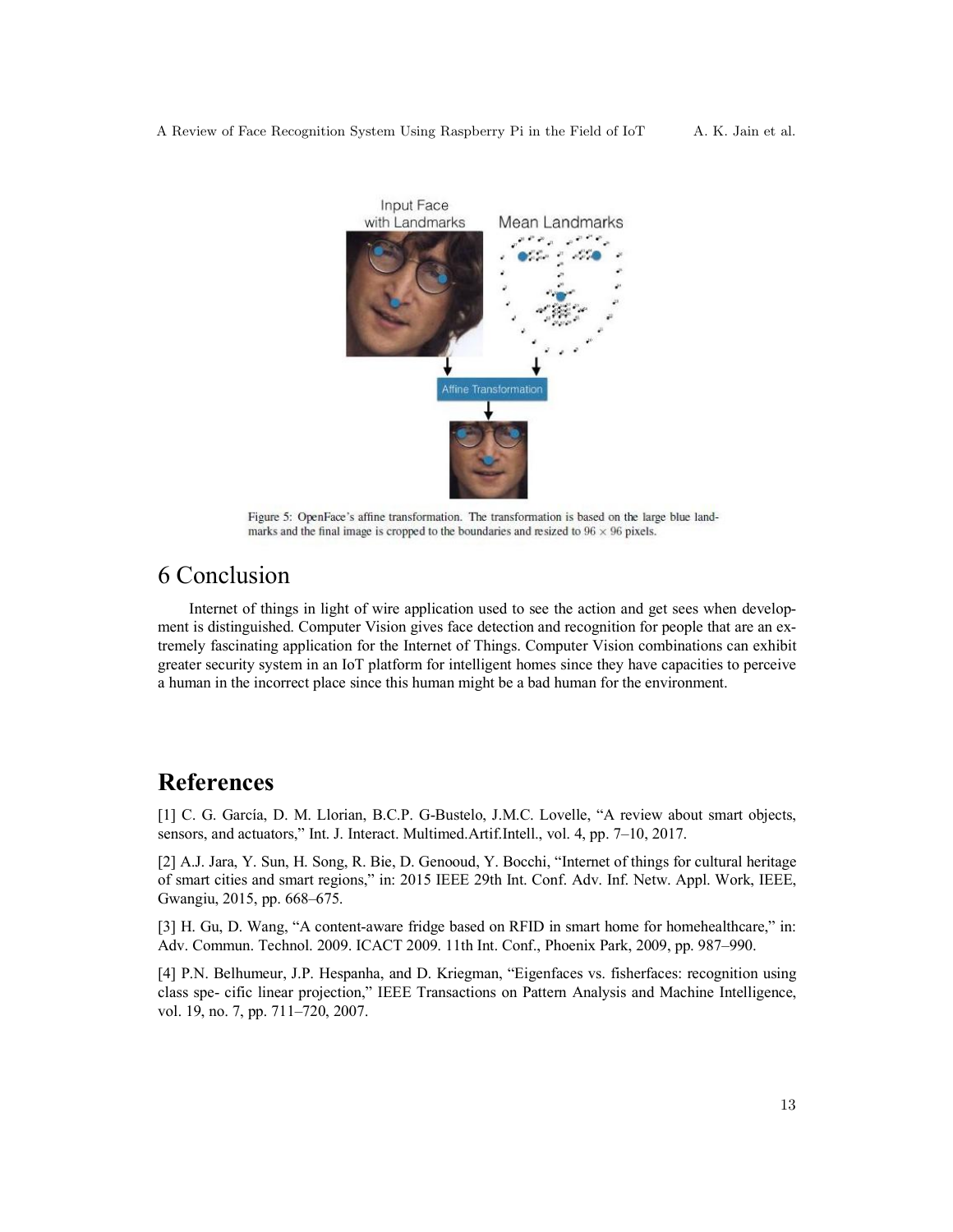

Figure 5: OpenFace's affine transformation. The transformation is based on the large blue landmarks and the final image is cropped to the boundaries and resized to  $96 \times 96$  pixels.

# 6 Conclusion

 Internet of things in light of wire application used to see the action and get sees when development is distinguished. Computer Vision gives face detection and recognition for people that are an extremely fascinating application for the Internet of Things. Computer Vision combinations can exhibit greater security system in an IoT platform for intelligent homes since they have capacities to perceive a human in the incorrect place since this human might be a bad human for the environment.

# **References**

[1] C. G. García, D. M. Llorian, B.C.P. G-Bustelo, J.M.C. Lovelle, "A review about smart objects, sensors, and actuators," Int. J. Interact. Multimed.Artif.Intell., vol. 4, pp. 7–10, 2017.

[2] A.J. Jara, Y. Sun, H. Song, R. Bie, D. Genooud, Y. Bocchi, "Internet of things for cultural heritage of smart cities and smart regions," in: 2015 IEEE 29th Int. Conf. Adv. Inf. Netw. Appl. Work, IEEE, Gwangiu, 2015, pp. 668–675.

[3] H. Gu, D. Wang, "A content-aware fridge based on RFID in smart home for homehealthcare," in: Adv. Commun. Technol. 2009. ICACT 2009. 11th Int. Conf., Phoenix Park, 2009, pp. 987–990.

[4] P.N. Belhumeur, J.P. Hespanha, and D. Kriegman, "Eigenfaces vs. fisherfaces: recognition using class spe- cific linear projection," IEEE Transactions on Pattern Analysis and Machine Intelligence, vol. 19, no. 7, pp. 711–720, 2007.